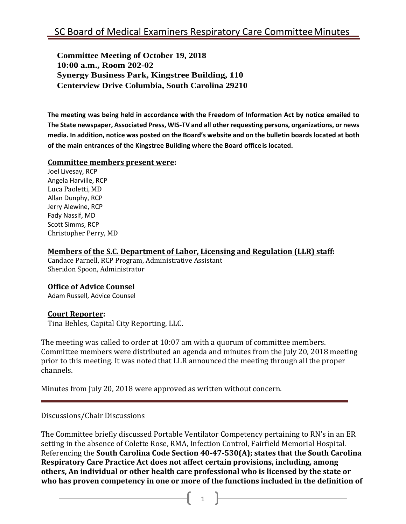**Committee Meeting of October 19, 2018 10:00 a.m., Room 202-02 Synergy Business Park, Kingstree Building, 110 Centerview Drive Columbia, South Carolina 29210**

**The meeting was being held in accordance with the Freedom of Information Act by notice emailed to The State newspaper, Associated Press, WIS-TV and all other requesting persons, organizations, or news**  media. In addition, notice was posted on the Board's website and on the bulletin boards located at both **of the main entrances of the Kingstree Building where the Board office is located.**

#### **Committee members present were:**

Joel Livesay, RCP Angela Harville, RCP Luca Paoletti, MD Allan Dunphy, RCP Jerry Alewine, RCP Fady Nassif, MD Scott Simms, RCP Christopher Perry, MD

### **Members of the S.C. Department of Labor, Licensing and Regulation (LLR) staff:**

Candace Parnell, RCP Program, Administrative Assistant Sheridon Spoon, Administrator

## **Office of Advice Counsel**

Adam Russell, Advice Counsel

## **Court Reporter:**

Tina Behles, Capital City Reporting, LLC.

The meeting was called to order at 10:07 am with a quorum of committee members. Committee members were distributed an agenda and minutes from the July 20, 2018 meeting prior to this meeting. It was noted that LLR announced the meeting through all the proper channels.

Minutes from July 20, 2018 were approved as written without concern.

#### Discussions/Chair Discussions

The Committee briefly discussed Portable Ventilator Competency pertaining to RN's in an ER setting in the absence of Colette Rose, RMA, Infection Control, Fairfield Memorial Hospital. Referencing the **South Carolina Code Section 40-47-530(A); states that the South Carolina Respiratory Care Practice Act does not affect certain provisions, including, among others, An individual or other health care professional who is licensed by the state or who has proven competency in one or more of the functions included in the definition of**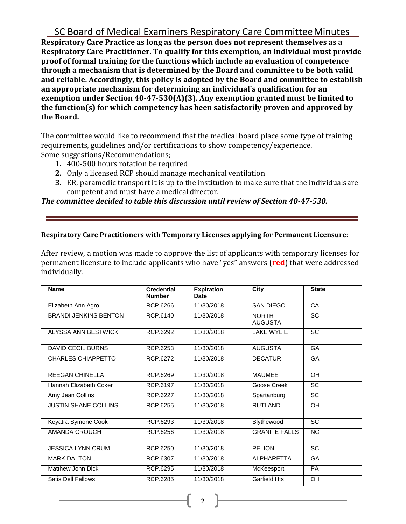SC Board of Medical Examiners Respiratory Care CommitteeMinutes **Respiratory Care Practice as long as the person does not represent themselves as a Respiratory Care Practitioner. To qualify for this exemption, an individual must provide proof of formal training for the functions which include an evaluation of competence through a mechanism that is determined by the Board and committee to be both valid and reliable. Accordingly, this policy is adopted by the Board and committee to establish an appropriate mechanism for determining an individual's qualification for an exemption under Section 40-47-530(A)(3). Any exemption granted must be limited to the function(s) for which competency has been satisfactorily proven and approved by the Board.**

The committee would like to recommend that the medical board place some type of training requirements, guidelines and/or certifications to show competency/experience. Some suggestions/Recommendations;

- **1.** 400-500 hours rotation be required
- **2.** Only a licensed RCP should manage mechanical ventilation
- **3.** ER, paramedic transport it is up to the institution to make sure that the individualsare competent and must have a medical director.

### *The committee decided to table this discussion until review of Section 40-47-530.*

#### **Respiratory Care Practitioners with Temporary Licenses applying for Permanent Licensure**:

After review, a motion was made to approve the list of applicants with temporary licenses for permanent licensure to include applicants who have "yes" answers (**red**) that were addressed individually.

| <b>Name</b>                  | <b>Credential</b><br><b>Number</b> | <b>Expiration</b><br><b>Date</b> | <b>City</b>                    | <b>State</b>    |
|------------------------------|------------------------------------|----------------------------------|--------------------------------|-----------------|
| Elizabeth Ann Agro           | RCP.6266                           | 11/30/2018                       | <b>SAN DIEGO</b>               | CA              |
| <b>BRANDI JENKINS BENTON</b> | RCP.6140                           | 11/30/2018                       | <b>NORTH</b><br><b>AUGUSTA</b> | <b>SC</b>       |
| ALYSSA ANN BESTWICK          | RCP.6292                           | 11/30/2018                       | <b>LAKE WYLIE</b>              | SC              |
| <b>DAVID CECIL BURNS</b>     | RCP.6253                           | 11/30/2018                       | <b>AUGUSTA</b>                 | GA              |
| <b>CHARLES CHIAPPETTO</b>    | <b>RCP.6272</b>                    | 11/30/2018                       | <b>DECATUR</b>                 | GA              |
| <b>REEGAN CHINELLA</b>       | RCP.6269                           | 11/30/2018                       | <b>MAUMEE</b>                  | OH              |
| Hannah Elizabeth Coker       | RCP.6197                           | 11/30/2018                       | Goose Creek                    | SC              |
| Amy Jean Collins             | RCP.6227                           | 11/30/2018                       | Spartanburg                    | <b>SC</b>       |
| <b>JUSTIN SHANE COLLINS</b>  | RCP.6255                           | 11/30/2018                       | <b>RUTLAND</b>                 | OH              |
| Keyatra Symone Cook          | RCP.6293                           | 11/30/2018                       | Blythewood                     | <b>SC</b>       |
| AMANDA CROUCH                | <b>RCP.6256</b>                    | 11/30/2018                       | <b>GRANITE FALLS</b>           | <b>NC</b>       |
| <b>JESSICA LYNN CRUM</b>     | RCP.6250                           | 11/30/2018                       | <b>PELION</b>                  | $\overline{SC}$ |
| <b>MARK DALTON</b>           | RCP.6307                           | 11/30/2018                       | <b>ALPHARETTA</b>              | GA              |
| Matthew John Dick            | RCP.6295                           | 11/30/2018                       | McKeesport                     | <b>PA</b>       |
| <b>Satis Dell Fellows</b>    | RCP.6285                           | 11/30/2018                       | <b>Garfield Hts</b>            | OH              |

2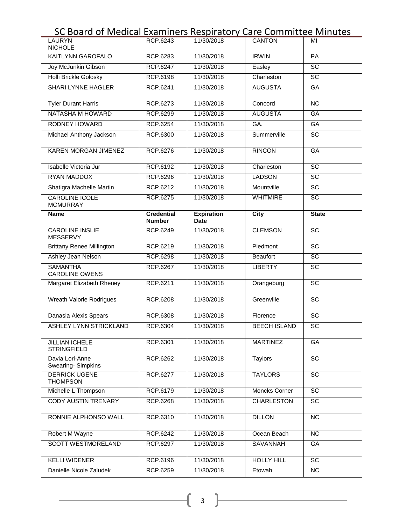# SC Board of Medical Examiners Respiratory Care Committee Minutes

| <b>LAURYN</b><br><b>NICHOLE</b>           | RCP.6243                           | 11/30/2018                       | <b>CANTON</b>        | MI              |
|-------------------------------------------|------------------------------------|----------------------------------|----------------------|-----------------|
| <b>KAITLYNN GAROFALO</b>                  | <b>RCP.6283</b>                    | 11/30/2018                       | <b>IRWIN</b>         | PA              |
| Joy McJunkin Gibson                       | <b>RCP.6247</b>                    | 11/30/2018                       | Easley               | $\overline{SC}$ |
| <b>Holli Brickle Golosky</b>              | <b>RCP.6198</b>                    | 11/30/2018                       | Charleston           | $\overline{SC}$ |
| <b>SHARI LYNNE HAGLER</b>                 | RCP.6241                           | 11/30/2018                       | <b>AUGUSTA</b>       | <b>GA</b>       |
| <b>Tyler Durant Harris</b>                | <b>RCP.6273</b>                    | 11/30/2018                       | Concord              | NC              |
| <b>NATASHA M HOWARD</b>                   | <b>RCP.6299</b>                    | 11/30/2018                       | <b>AUGUSTA</b>       | GA              |
| <b>RODNEY HOWARD</b>                      | <b>RCP.6254</b>                    | 11/30/2018                       | GA.                  | GA              |
| Michael Anthony Jackson                   | <b>RCP.6300</b>                    | 11/30/2018                       | Summerville          | $\overline{SC}$ |
| KAREN MORGAN JIMENEZ                      | RCP.6276                           | 11/30/2018                       | <b>RINCON</b>        | GA              |
| Isabelle Victoria Jur                     | <b>RCP.6192</b>                    | 11/30/2018                       | Charleston           | SC              |
| <b>RYAN MADDOX</b>                        | <b>RCP.6296</b>                    | 11/30/2018                       | <b>LADSON</b>        | SC              |
| Shatigra Machelle Martin                  | RCP.6212                           | 11/30/2018                       | Mountville           | $\overline{SC}$ |
| <b>CAROLINE ICOLE</b><br><b>MCMURRAY</b>  | <b>RCP.6275</b>                    | 11/30/2018                       | <b>WHITMIRE</b>      | SC              |
| <b>Name</b>                               | <b>Credential</b><br><b>Number</b> | <b>Expiration</b><br><b>Date</b> | <b>City</b>          | <b>State</b>    |
| <b>CAROLINE INSLIE</b><br><b>MESSERVY</b> | <b>RCP.6249</b>                    | 11/30/2018                       | <b>CLEMSON</b>       | SC              |
| <b>Brittany Renee Millington</b>          | RCP.6219                           | 11/30/2018                       | Piedmont             | SC              |
| Ashley Jean Nelson                        | <b>RCP.6298</b>                    | 11/30/2018                       | <b>Beaufort</b>      | SC              |
| <b>SAMANTHA</b><br><b>CAROLINE OWENS</b>  | <b>RCP.6267</b>                    | 11/30/2018                       | <b>LIBERTY</b>       | SC              |
| Margaret Elizabeth Rheney                 | RCP.6211                           | 11/30/2018                       | Orangeburg           | $\overline{SC}$ |
| <b>Wreath Valorie Rodrigues</b>           | <b>RCP.6208</b>                    | 11/30/2018                       | Greenville           | $\overline{SC}$ |
| Danasia Alexis Spears                     | <b>RCP.6308</b>                    | 11/30/2018                       | Florence             | $\overline{SC}$ |
| <b>ASHLEY LYNN STRICKLAND</b>             | <b>RCP.6304</b>                    | 11/30/2018                       | <b>BEECH ISLAND</b>  | SC              |
| JILLIAN ICHELE<br><b>STRINGFIELD</b>      | RCP.6301                           | 11/30/2018                       | <b>MARTINEZ</b>      | <b>GA</b>       |
| Davia Lori-Anne<br>Swearing-Simpkins      | RCP.6262                           | 11/30/2018                       | <b>Taylors</b>       | SC              |
| <b>DERRICK UGENE</b><br><b>THOMPSON</b>   | <b>RCP.6277</b>                    | 11/30/2018                       | <b>TAYLORS</b>       | SC              |
| Michelle L Thompson                       | RCP.6179                           | 11/30/2018                       | <b>Moncks Corner</b> | $\overline{SC}$ |
| <b>CODY AUSTIN TRENARY</b>                | <b>RCP.6268</b>                    | 11/30/2018                       | <b>CHARLESTON</b>    | $\overline{SC}$ |
| RONNIE ALPHONSO WALL                      | RCP.6310                           | 11/30/2018                       | <b>DILLON</b>        | $\overline{NC}$ |
| Robert M Wayne                            | <b>RCP.6242</b>                    | 11/30/2018                       | Ocean Beach          | <b>NC</b>       |
| <b>SCOTT WESTMORELAND</b>                 | <b>RCP.6297</b>                    | 11/30/2018                       | <b>SAVANNAH</b>      | GA              |
| <b>KELLI WIDENER</b>                      | RCP.6196                           | 11/30/2018                       | <b>HOLLY HILL</b>    | SC              |
| Danielle Nicole Zaludek                   | RCP.6259                           | 11/30/2018                       | Etowah               | NC              |

 $\begin{pmatrix} 3 \end{pmatrix}$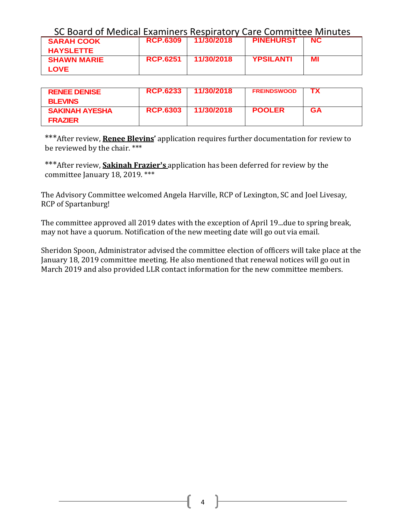| SC Board of Medical Examiners Respiratory Care Committee Minutes |                   |                     |                  |     |
|------------------------------------------------------------------|-------------------|---------------------|------------------|-----|
| <b>SARAH COOK</b>                                                |                   | RCP.6309 11/30/2018 | <b>PINEHURST</b> | NC. |
| <b>HAYSLETTE</b>                                                 |                   |                     |                  |     |
| <b>SHAWN MARIE</b>                                               | <b>RCP.6251</b> 1 | - 11/30/2018        | <b>YPSILANTI</b> | мı  |
| <b>LOVE</b>                                                      |                   |                     |                  |     |

| <b>RENEE DENISE</b><br><b>BLEVINS</b>   | <b>RCP.6233</b> | 11/30/2018 | <b>FREINDSWOOD</b> |    |
|-----------------------------------------|-----------------|------------|--------------------|----|
| <b>SAKINAH AYESHA</b><br><b>FRAZIER</b> | <b>RCP.6303</b> | 11/30/2018 | <b>POOLER</b>      | GА |

\*\*\*After review, **Renee Blevins'** application requires further documentation for review to be reviewed by the chair. \*\*\*

\*\*\*After review, **Sakinah Frazier's** application has been deferred for review by the committee January 18, 2019. \*\*\*

The Advisory Committee welcomed Angela Harville, RCP of Lexington, SC and Joel Livesay, RCP of Spartanburg!

The committee approved all 2019 dates with the exception of April 19...due to spring break, may not have a quorum. Notification of the new meeting date will go out via email.

Sheridon Spoon, Administrator advised the committee election of officers will take place at the January 18, 2019 committee meeting. He also mentioned that renewal notices will go out in March 2019 and also provided LLR contact information for the new committee members.